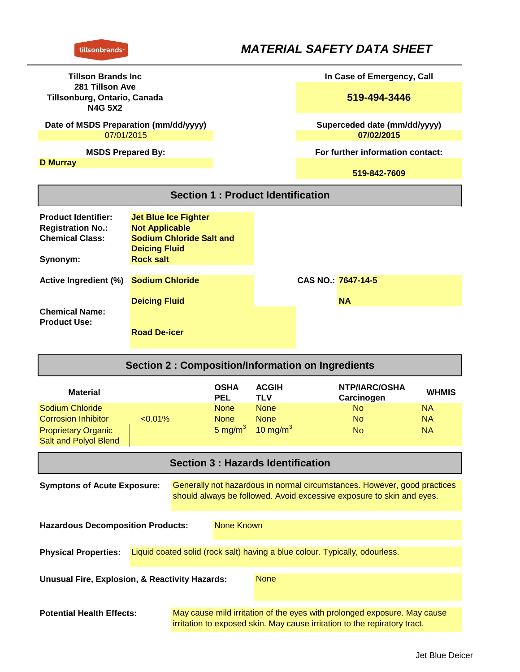# *MATERIAL SAFETY DATA SHEET*

| <b>Tillson Brands Inc.</b><br>281 Tillson Ave<br>Tillsonburg, Ontario, Canada<br><b>N4G 5X2</b> |                                 |  |  | In Case of Emergency, Call       |
|-------------------------------------------------------------------------------------------------|---------------------------------|--|--|----------------------------------|
|                                                                                                 |                                 |  |  | 519-494-3446                     |
| Date of MSDS Preparation (mm/dd/yyyy)                                                           |                                 |  |  | Superceded date (mm/dd/yyyy)     |
| 07/01/2015                                                                                      |                                 |  |  | 07/02/2015                       |
| <b>MSDS Prepared By:</b>                                                                        |                                 |  |  | For further information contact: |
| <b>D</b> Murray                                                                                 |                                 |  |  |                                  |
|                                                                                                 |                                 |  |  | 519-842-7609                     |
| <b>Section 1: Product Identification</b>                                                        |                                 |  |  |                                  |
| <b>Product Identifier:</b>                                                                      | <b>Jet Blue Ice Fighter</b>     |  |  |                                  |
| <b>Registration No.:</b>                                                                        | <b>Not Applicable</b>           |  |  |                                  |
| <b>Chemical Class:</b>                                                                          | <b>Sodium Chloride Salt and</b> |  |  |                                  |
|                                                                                                 | <b>Deicing Fluid</b>            |  |  |                                  |
| Synonym:                                                                                        | <b>Rock salt</b>                |  |  |                                  |
| <b>Active Ingredient (%)</b>                                                                    | <b>Sodium Chloride</b>          |  |  | CAS NO.: 7647-14-5               |
|                                                                                                 | <b>Deicing Fluid</b>            |  |  | <b>NA</b>                        |
| <b>Chemical Name:</b>                                                                           |                                 |  |  |                                  |
| <b>Product Use:</b>                                                                             |                                 |  |  |                                  |
|                                                                                                 | <b>Road De-icer</b>             |  |  |                                  |

| <b>Section 2: Composition/Information on Ingredients</b>                                                                                                                                |            |                           |                     |                             |              |
|-----------------------------------------------------------------------------------------------------------------------------------------------------------------------------------------|------------|---------------------------|---------------------|-----------------------------|--------------|
| <b>Material</b>                                                                                                                                                                         |            | <b>OSHA</b><br><b>PEL</b> | <b>ACGIH</b><br>TLV | NTP/IARC/OSHA<br>Carcinogen | <b>WHMIS</b> |
| Sodium Chloride                                                                                                                                                                         |            | <b>None</b>               | <b>None</b>         | No.                         | NA.          |
| Corrosion Inhibitor                                                                                                                                                                     | $< 0.01\%$ | <b>None</b>               | <b>None</b>         | No.                         | <b>NA</b>    |
| <b>Proprietary Organic</b><br><b>Salt and Polyol Blend</b>                                                                                                                              |            | 5 mg/m $3$                | 10 mg/m $3$         | No.                         | <b>NA</b>    |
| <b>Section 3: Hazards Identification</b>                                                                                                                                                |            |                           |                     |                             |              |
| Generally not hazardous in normal circumstances. However, good practices<br><b>Symptons of Acute Exposure:</b><br>should always be followed. Avoid excessive exposure to skin and eyes. |            |                           |                     |                             |              |

**Unusual Fire, Explosion, & Reactivity Hazards: Physical Properties:** Liquid coated solid (rock salt) having a blue colour. Typically, odourless. **Hazardous Decomposition Products:** None Known None

May cause mild irritation of the eyes with prolonged exposure. May cause irritation to exposed skin. May cause irritation to the repiratory tract. **Potential Health Effects:**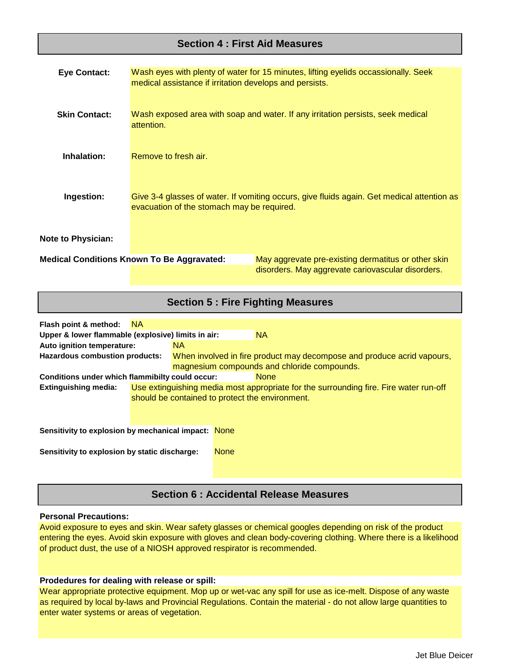## **Section 4 : First Aid Measures**

| <b>Eye Contact:</b>       | medical assistance if irritation develops and persists. | Wash eyes with plenty of water for 15 minutes, lifting eyelids occassionally. Seek                       |
|---------------------------|---------------------------------------------------------|----------------------------------------------------------------------------------------------------------|
| <b>Skin Contact:</b>      | attention.                                              | Wash exposed area with soap and water. If any irritation persists, seek medical                          |
| Inhalation:               | Remove to fresh air.                                    |                                                                                                          |
| Ingestion:                | evacuation of the stomach may be required.              | Give 3-4 glasses of water. If vomiting occurs, give fluids again. Get medical attention as               |
| <b>Note to Physician:</b> |                                                         |                                                                                                          |
|                           | <b>Medical Conditions Known To Be Aggravated:</b>       | May aggrevate pre-existing dermatitus or other skin<br>disorders. May aggrevate cariovascular disorders. |

## **Section 5 : Fire Fighting Measures**

| Flash point & method:                               | - NA |     |                                                                                       |
|-----------------------------------------------------|------|-----|---------------------------------------------------------------------------------------|
| Upper & lower flammable (explosive) limits in air:  |      |     | <b>NA</b>                                                                             |
| Auto ignition temperature:                          |      | NA. |                                                                                       |
| Hazardous combustion products:                      |      |     | When involved in fire product may decompose and produce acrid vapours,                |
|                                                     |      |     | magnesium compounds and chloride compounds.                                           |
| Conditions under which flammibilty could occur:     |      |     | <b>None</b>                                                                           |
| <b>Extinguishing media:</b>                         |      |     | Use extinguishing media most appropriate for the surrounding fire. Fire water run-off |
|                                                     |      |     | should be contained to protect the environment.                                       |
|                                                     |      |     |                                                                                       |
|                                                     |      |     |                                                                                       |
| Sensitivity to explosion by mechanical impact: None |      |     |                                                                                       |
| Sensitivity to explosion by static discharge:       |      |     | <b>None</b>                                                                           |
|                                                     |      |     |                                                                                       |

## **Section 6 : Accidental Release Measures**

#### **Personal Precautions:**

Avoid exposure to eyes and skin. Wear safety glasses or chemical googles depending on risk of the product entering the eyes. Avoid skin exposure with gloves and clean body-covering clothing. Where there is a likelihood of product dust, the use of a NIOSH approved respirator is recommended.

#### **Prodedures for dealing with release or spill:**

Wear appropriate protective equipment. Mop up or wet-vac any spill for use as ice-melt. Dispose of any waste as required by local by-laws and Provincial Regulations. Contain the material - do not allow large quantities to enter water systems or areas of vegetation.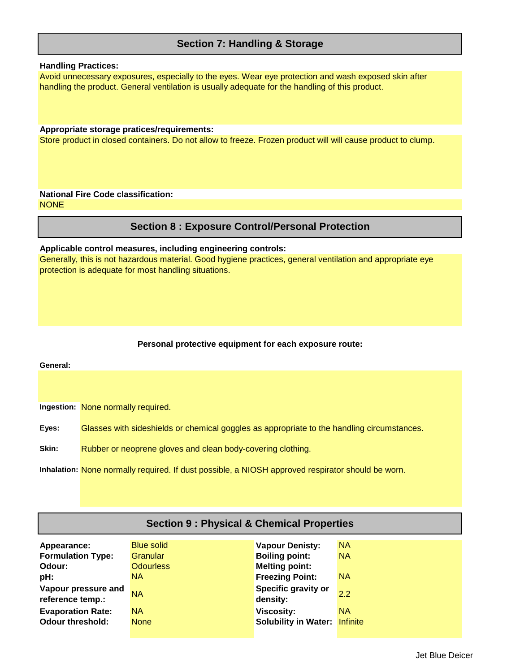## **Section 7: Handling & Storage**

### **Handling Practices:**

Avoid unnecessary exposures, especially to the eyes. Wear eye protection and wash exposed skin after handling the product. General ventilation is usually adequate for the handling of this product.

#### **Appropriate storage pratices/requirements:**

Store product in closed containers. Do not allow to freeze. Frozen product will will cause product to clump.

#### **NONE National Fire Code classification:**

## **Section 8 : Exposure Control/Personal Protection**

#### **Applicable control measures, including engineering controls:**

Generally, this is not hazardous material. Good hygiene practices, general ventilation and appropriate eye protection is adequate for most handling situations.

#### **Personal protective equipment for each exposure route:**

**Ingestion:** None normally required.

**General:**

**Eyes:** Glasses with sideshields or chemical goggles as appropriate to the handling circumstances.

**Skin:** Rubber or neoprene gloves and clean body-covering clothing.

**Inhalation:** None normally required. If dust possible, a NIOSH approved respirator should be worn.

| <b>Section 9: Physical &amp; Chemical Properties</b>                                                                            |                                                                                    |                                                                                                                                                                   |                                                         |  |
|---------------------------------------------------------------------------------------------------------------------------------|------------------------------------------------------------------------------------|-------------------------------------------------------------------------------------------------------------------------------------------------------------------|---------------------------------------------------------|--|
| Appearance:<br><b>Formulation Type:</b><br>Odour:<br>pH:<br>Vapour pressure and<br>reference temp.:<br><b>Evaporation Rate:</b> | <b>Blue solid</b><br>Granular<br><b>Odourless</b><br>NA.<br><b>NA</b><br><b>NA</b> | <b>Vapour Denisty:</b><br><b>Boiling point:</b><br><b>Melting point:</b><br><b>Freezing Point:</b><br><b>Specific gravity or</b><br>density:<br><b>Viscosity:</b> | <b>NA</b><br><b>NA</b><br><b>NA</b><br>2.2<br><b>NA</b> |  |
| <b>Odour threshold:</b>                                                                                                         | <b>None</b>                                                                        | <b>Solubility in Water:</b>                                                                                                                                       | Infinite                                                |  |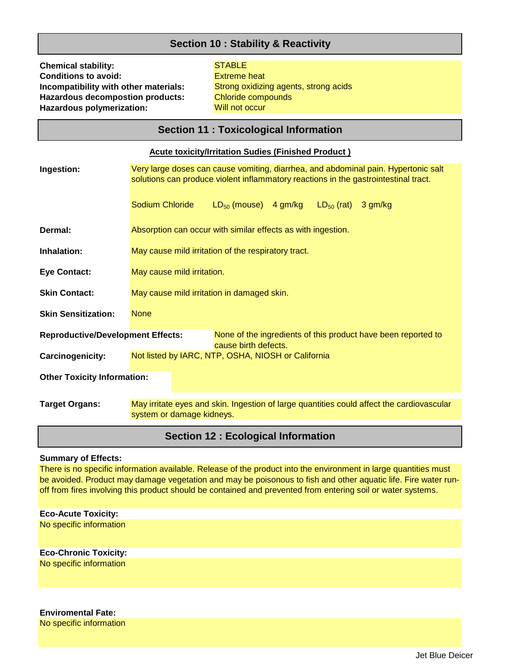## **Section 10 : Stability & Reactivity**

**Chemical stability:** STABLE **Hazardous polymerization: Hazardous decompostion products: Incompatibility with other materials: Conditions to avoid:**

Chloride compounds Will not occur Extreme heat Strong oxidizing agents, strong acids

# **Section 11 : Toxicological Information**

| <b>Acute toxicity/Irritation Sudies (Finished Product)</b>                                                                                      |                                                                                                                                                                           |  |  |
|-------------------------------------------------------------------------------------------------------------------------------------------------|---------------------------------------------------------------------------------------------------------------------------------------------------------------------------|--|--|
| Ingestion:                                                                                                                                      | Very large doses can cause vomiting, diarrhea, and abdominal pain. Hypertonic salt<br>solutions can produce violent inflammatory reactions in the gastrointestinal tract. |  |  |
|                                                                                                                                                 | Sodium Chloride<br>$LD_{50}$ (mouse) $4 \text{ gm/kg}$ $LD_{50}$ (rat)<br>3 gm/kg                                                                                         |  |  |
| Dermal:                                                                                                                                         | Absorption can occur with similar effects as with ingestion.                                                                                                              |  |  |
| Inhalation:                                                                                                                                     | May cause mild irritation of the respiratory tract.                                                                                                                       |  |  |
| <b>Eye Contact:</b>                                                                                                                             | May cause mild irritation.                                                                                                                                                |  |  |
| <b>Skin Contact:</b>                                                                                                                            | May cause mild irritation in damaged skin.                                                                                                                                |  |  |
| <b>Skin Sensitization:</b>                                                                                                                      | <b>None</b>                                                                                                                                                               |  |  |
| None of the ingredients of this product have been reported to<br><b>Reproductive/Development Effects:</b><br>cause birth defects.               |                                                                                                                                                                           |  |  |
| Carcinogenicity:                                                                                                                                | Not listed by IARC, NTP, OSHA, NIOSH or California                                                                                                                        |  |  |
| <b>Other Toxicity Information:</b>                                                                                                              |                                                                                                                                                                           |  |  |
| May irritate eyes and skin. Ingestion of large quantities could affect the cardiovascular<br><b>Target Organs:</b><br>system or damage kidneys. |                                                                                                                                                                           |  |  |
| <b>Section 12: Ecological Information</b>                                                                                                       |                                                                                                                                                                           |  |  |

#### **Summary of Effects:**

There is no specific information available. Release of the product into the environment in large quantities must be avoided. Product may damage vegetation and may be poisonous to fish and other aquatic life. Fire water runoff from fires involving this product should be contained and prevented from entering soil or water systems.

| <b>Eco-Acute Toxicity:</b>   |
|------------------------------|
| No specific information      |
| <b>Eco-Chronic Toxicity:</b> |
| No specific information      |